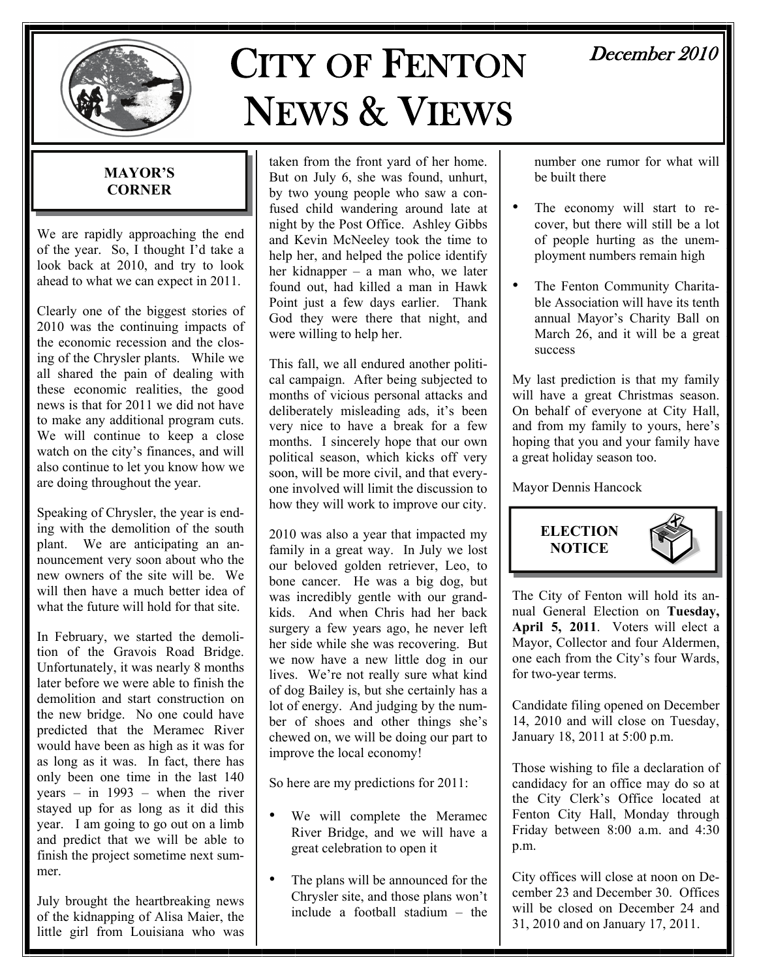

# CITY OF FENTON NEWS & VIEWS

# December 2010

#### **MAYOR'S CORNER**

We are rapidly approaching the end of the year. So, I thought I'd take a look back at 2010, and try to look ahead to what we can expect in 2011.

Clearly one of the biggest stories of 2010 was the continuing impacts of the economic recession and the closing of the Chrysler plants. While we all shared the pain of dealing with these economic realities, the good news is that for 2011 we did not have to make any additional program cuts. We will continue to keep a close watch on the city's finances, and will also continue to let you know how we are doing throughout the year.

Speaking of Chrysler, the year is ending with the demolition of the south plant. We are anticipating an announcement very soon about who the new owners of the site will be. We will then have a much better idea of what the future will hold for that site.

In February, we started the demolition of the Gravois Road Bridge. Unfortunately, it was nearly 8 months later before we were able to finish the demolition and start construction on the new bridge. No one could have predicted that the Meramec River would have been as high as it was for as long as it was. In fact, there has only been one time in the last 140 years – in 1993 – when the river stayed up for as long as it did this year. I am going to go out on a limb and predict that we will be able to finish the project sometime next summer.

July brought the heartbreaking news of the kidnapping of Alisa Maier, the little girl from Louisiana who was

taken from the front yard of her home. But on July 6, she was found, unhurt, by two young people who saw a confused child wandering around late at night by the Post Office. Ashley Gibbs and Kevin McNeeley took the time to help her, and helped the police identify her kidnapper – a man who, we later found out, had killed a man in Hawk Point just a few days earlier. Thank God they were there that night, and were willing to help her.

This fall, we all endured another political campaign. After being subjected to months of vicious personal attacks and deliberately misleading ads, it's been very nice to have a break for a few months. I sincerely hope that our own political season, which kicks off very soon, will be more civil, and that everyone involved will limit the discussion to how they will work to improve our city.

2010 was also a year that impacted my family in a great way. In July we lost our beloved golden retriever, Leo, to bone cancer. He was a big dog, but was incredibly gentle with our grandkids. And when Chris had her back surgery a few years ago, he never left her side while she was recovering. But we now have a new little dog in our lives. We're not really sure what kind of dog Bailey is, but she certainly has a lot of energy. And judging by the number of shoes and other things she's chewed on, we will be doing our part to improve the local economy!

So here are my predictions for 2011:

- We will complete the Meramec River Bridge, and we will have a great celebration to open it
- The plans will be announced for the Chrysler site, and those plans won't include a football stadium – the

number one rumor for what will be built there

- The economy will start to recover, but there will still be a lot of people hurting as the unemployment numbers remain high
- The Fenton Community Charitable Association will have its tenth annual Mayor's Charity Ball on March 26, and it will be a great success

My last prediction is that my family will have a great Christmas season. On behalf of everyone at City Hall, and from my family to yours, here's hoping that you and your family have a great holiday season too.

Mayor Dennis Hancock



The City of Fenton will hold its annual General Election on **Tuesday,**  April 5, 2011. Voters will elect a Mayor, Collector and four Aldermen, one each from the City's four Wards, for two-year terms.

Candidate filing opened on December 14, 2010 and will close on Tuesday, January 18, 2011 at 5:00 p.m.

Those wishing to file a declaration of candidacy for an office may do so at the City Clerk's Office located at Fenton City Hall, Monday through Friday between 8:00 a.m. and 4:30 p.m.

City offices will close at noon on December 23 and December 30. Offices will be closed on December 24 and 31, 2010 and on January 17, 2011.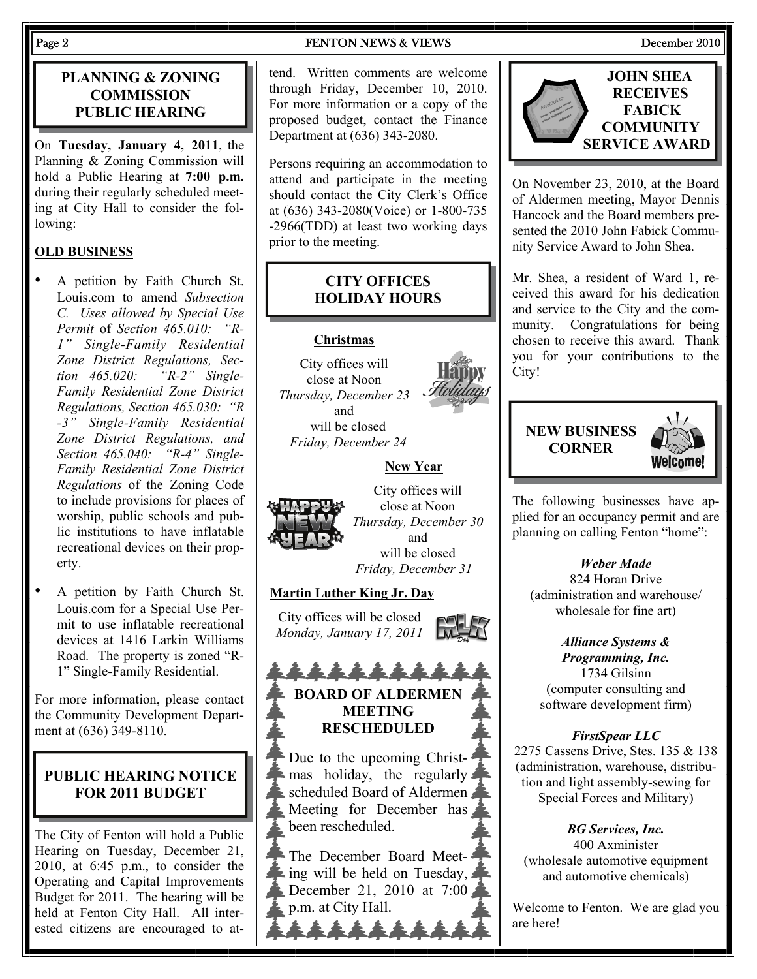#### **PLANNING & ZONING COMMISSION PUBLIC HEARING**

On **Tuesday, January 4, 2011**, the Planning & Zoning Commission will hold a Public Hearing at **7:00 p.m.**  during their regularly scheduled meeting at City Hall to consider the following:

#### **OLD BUSINESS**

- A petition by Faith Church St. Louis.com to amend *Subsection C. Uses allowed by Special Use Permit* of *Section 465.010: "R-1" Single-Family Residential Zone District Regulations, Section 465.020: "R-2" Single-Family Residential Zone District Regulations, Section 465.030: "R -3" Single-Family Residential Zone District Regulations, and Section 465.040: "R-4" Single-Family Residential Zone District Regulations* of the Zoning Code to include provisions for places of worship, public schools and public institutions to have inflatable recreational devices on their property.
- A petition by Faith Church St. Louis.com for a Special Use Permit to use inflatable recreational devices at 1416 Larkin Williams Road. The property is zoned "R-1" Single-Family Residential.

For more information, please contact the Community Development Department at (636) 349-8110.

#### **PUBLIC HEARING NOTICE FOR 2011 BUDGET**

The City of Fenton will hold a Public Hearing on Tuesday, December 21, 2010, at 6:45 p.m., to consider the Operating and Capital Improvements Budget for 2011. The hearing will be held at Fenton City Hall. All interested citizens are encouraged to at-

#### Page 2 **FENTON NEWS & VIEWS** December 2010

tend. Written comments are welcome through Friday, December 10, 2010. For more information or a copy of the proposed budget, contact the Finance Department at (636) 343-2080.

Persons requiring an accommodation to attend and participate in the meeting should contact the City Clerk's Office at (636) 343-2080(Voice) or 1-800-735 -2966(TDD) at least two working days prior to the meeting.

#### **CITY OFFICES HOLIDAY HOURS**

#### **Christmas**

City offices will close at Noon *Thursday, December 23*  and will be closed *Friday, December 24* 

#### **New Year**



City offices will close at Noon *Thursday, December 30*  and will be closed *Friday, December 31* 

#### **Martin Luther King Jr. Day**

City offices will be closed *Monday, January 17, 2011*

#### \*\*\*\*\* **BOARD OF ALDERMEN MEETING RESCHEDULED**

Due to the upcoming Christ- $\blacktriangleright$  mas holiday, the regularly scheduled Board of Aldermen Meeting for December has been rescheduled.

The December Board Meeting will be held on Tuesday, December 21, 2010 at 7:00 p.m. at City Hall.



On November 23, 2010, at the Board of Aldermen meeting, Mayor Dennis Hancock and the Board members presented the 2010 John Fabick Community Service Award to John Shea.

Mr. Shea, a resident of Ward 1, received this award for his dedication and service to the City and the community. Congratulations for being chosen to receive this award. Thank you for your contributions to the City!

# **NEW BUSINESS CORNER**



The following businesses have applied for an occupancy permit and are planning on calling Fenton "home":

#### *Weber Made*

824 Horan Drive (administration and warehouse/ wholesale for fine art)

*Alliance Systems & Programming, Inc.*  1734 Gilsinn (computer consulting and software development firm)

#### *FirstSpear LLC*

2275 Cassens Drive, Stes. 135 & 138 (administration, warehouse, distribution and light assembly-sewing for Special Forces and Military)

*BG Services, Inc.*  400 Axminister (wholesale automotive equipment and automotive chemicals)

Welcome to Fenton. We are glad you are here!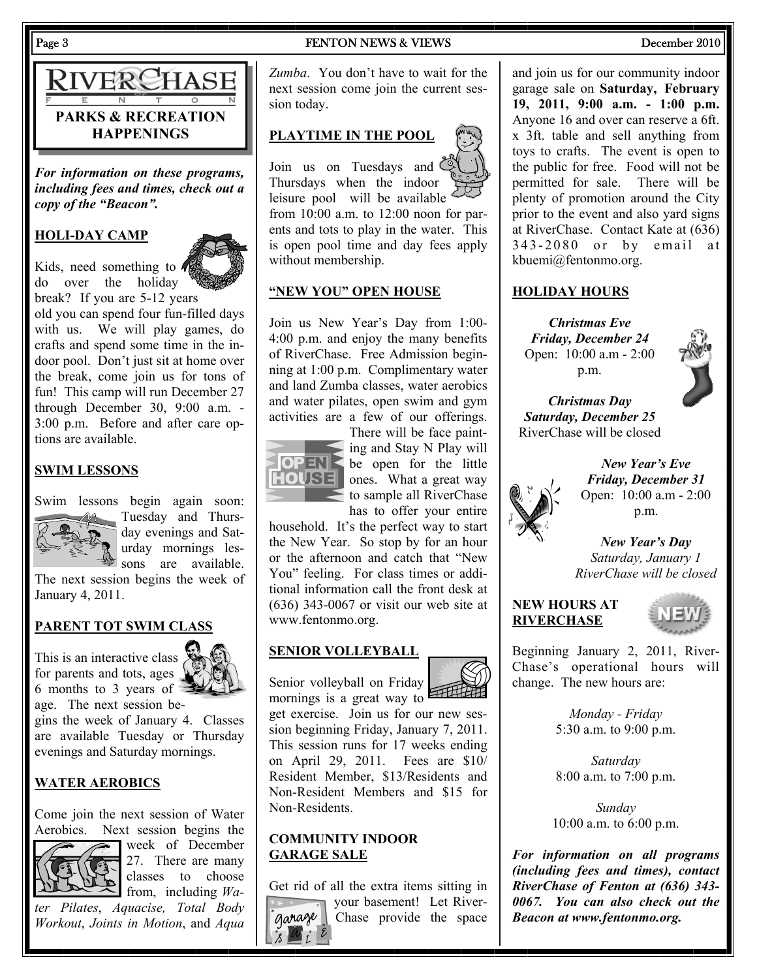# RIVERCHASE **PARKS & RECREATION HAPPENINGS**

*For information on these programs, including fees and times, check out a copy of the "Beacon".* 

#### **HOLI-DAY CAMP**

Kids, need something to  $\sqrt{\frac{1}{2}}$ do over the holiday break? If you are 5-12 years

old you can spend four fun-filled days with us. We will play games, do crafts and spend some time in the indoor pool. Don't just sit at home over the break, come join us for tons of fun! This camp will run December 27 through December 30, 9:00 a.m. - 3:00 p.m. Before and after care options are available.

#### **SWIM LESSONS**



Swim lessons begin again soon: Tuesday and Thursday evenings and Saturday mornings lessons are available.

The next session begins the week of January 4, 2011.

#### **PARENT TOT SWIM CLASS**

This is an interactive class for parents and tots, ages 6 months to 3 years of age. The next session be-

gins the week of January 4. Classes are available Tuesday or Thursday evenings and Saturday mornings.

#### **WATER AEROBICS**

Come join the next session of Water Aerobics. Next session begins the



**Week of December** 27. There are many classes to choose from, including *Wa-*

*ter Pilates*, *Aquacise, Total Body Workout*, *Joints in Motion*, and *Aqua* 

Page 3 **FENTON NEWS & VIEWS** December 2010

*Zumba*. You don't have to wait for the next session come join the current session today.

#### **PLAYTIME IN THE POOL**

Join us on Tuesdays and Thursdays when the indoor leisure pool will be available  $\leq$ from 10:00 a.m. to 12:00 noon for parents and tots to play in the water. This is open pool time and day fees apply without membership.

#### **"NEW YOU" OPEN HOUSE**

Join us New Year's Day from 1:00- 4:00 p.m. and enjoy the many benefits of RiverChase. Free Admission beginning at 1:00 p.m. Complimentary water and land Zumba classes, water aerobics and water pilates, open swim and gym activities are a few of our offerings.



There will be face painting and Stay N Play will **OPEN** be open for the little **HOUSE** ones. What a great way to sample all RiverChase has to offer your entire

household. It's the perfect way to start the New Year. So stop by for an hour or the afternoon and catch that "New You" feeling. For class times or additional information call the front desk at (636) 343-0067 or visit our web site at www.fentonmo.org.

#### **SENIOR VOLLEYBALL**

Senior volleyball on Friday



mornings is a great way to  $\equiv$ get exercise. Join us for our new session beginning Friday, January 7, 2011. This session runs for 17 weeks ending

on April 29, 2011. Fees are \$10/ Resident Member, \$13/Residents and Non-Resident Members and \$15 for Non-Residents.

#### **COMMUNITY INDOOR GARAGE SALE**

Get rid of all the extra items sitting in vour basement! Let Rivergarage Chase provide the space



and join us for our community indoor garage sale on **Saturday, February 19, 2011, 9:00 a.m. - 1:00 p.m.** Anyone 16 and over can reserve a 6ft. x 3ft. table and sell anything from toys to crafts. The event is open to the public for free. Food will not be permitted for sale. There will be plenty of promotion around the City prior to the event and also yard signs at RiverChase. Contact Kate at (636)  $343 - 2080$  or by email at kbuemi@fentonmo.org.

#### **HOLIDAY HOURS**

*Christmas Eve Friday, December 24*  Open: 10:00 a.m - 2:00 p.m.



*Christmas Day Saturday, December 25*  RiverChase will be closed



*New Year's Eve Friday, December 31*  Open: 10:00 a.m - 2:00 p.m.

*New Year's Day Saturday, January 1 RiverChase will be closed*

#### **NEW HOURS AT RIVERCHASE**



Beginning January 2, 2011, River-Chase's operational hours will change. The new hours are:

> *Monday - Friday*  5:30 a.m. to 9:00 p.m.

> *Saturday*  8:00 a.m. to 7:00 p.m.

*Sunday*  10:00 a.m. to 6:00 p.m.

*For information on all programs (including fees and times), contact RiverChase of Fenton at (636) 343- 0067. You can also check out the Beacon at www.fentonmo.org.*

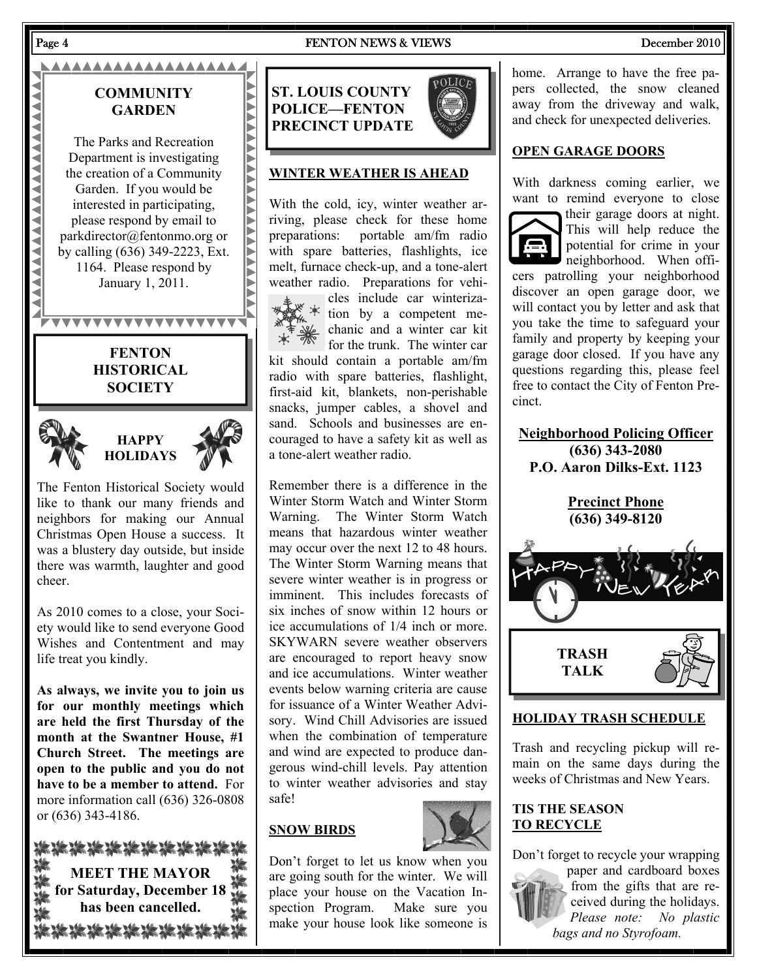#### Page 4 FENTON NEWS & VIEWS December 2010

#### AAAAAAAAAAAAAAAAA

### **COMMUNITY GARDEN**

The Parks and Recreation Department is investigating the creation of a Community Garden. If you would be interested in participating, please respond by email to parkdirector@fentonmo.org or by calling (636) 349-2223, Ext. 1164. Please respond by January 1, 2011.

**AAAAAAAAAAAAAAAAAA** 

# **FENTON HISTORICAL**

**WAXAYAYAYAYAYAYA** 

**SOCIETY** 





The Fenton Historical Society would like to thank our many friends and neighbors for making our Annual Christmas Open House a success. It was a blustery day outside, but inside there was warmth, laughter and good cheer.

As 2010 comes to a close, your Society would like to send everyone Good Wishes and Contentment and may life treat you kindly.

**As always, we invite you to join us for our monthly meetings which are held the first Thursday of the month at the Swantner House, #1 Church Street. The meetings are open to the public and you do not have to be a member to attend.** For more information call (636) 326-0808 or (636) 343-4186.

| 装装装装装装装                   |  |
|---------------------------|--|
| <b>MEET THE MAYOR</b>     |  |
| for Saturday, December 18 |  |
| has been cancelled.       |  |
|                           |  |

**ST. LOUIS COUNTY POLICE—FENTON PRECINCT UPDATE** 

#### **WINTER WEATHER IS AHEAD**

With the cold, icy, winter weather arriving, please check for these home preparations: portable am/fm radio with spare batteries, flashlights, ice melt, furnace check-up, and a tone-alert weather radio. Preparations for vehicles include car winteriza- $*$  tion by a competent mechanic and a winter car kit

for the trunk. The winter car kit should contain a portable am/fm radio with spare batteries, flashlight, first-aid kit, blankets, non-perishable snacks, jumper cables, a shovel and sand. Schools and businesses are encouraged to have a safety kit as well as a tone-alert weather radio.

Remember there is a difference in the Winter Storm Watch and Winter Storm Warning. The Winter Storm Watch means that hazardous winter weather may occur over the next 12 to 48 hours. The Winter Storm Warning means that severe winter weather is in progress or imminent. This includes forecasts of six inches of snow within 12 hours or ice accumulations of 1/4 inch or more. SKYWARN severe weather observers are encouraged to report heavy snow and ice accumulations. Winter weather events below warning criteria are cause for issuance of a Winter Weather Advisory. Wind Chill Advisories are issued when the combination of temperature and wind are expected to produce dangerous wind-chill levels. Pay attention to winter weather advisories and stay safe!

### **SNOW BIRDS**



Don't forget to let us know when you are going south for the winter. We will place your house on the Vacation Inspection Program. Make sure you make your house look like someone is

home. Arrange to have the free papers collected, the snow cleaned away from the driveway and walk, and check for unexpected deliveries.

#### **OPEN GARAGE DOORS**

With darkness coming earlier, we want to remind everyone to close



their garage doors at night. This will help reduce the potential for crime in your neighborhood. When offi-

cers patrolling your neighborhood discover an open garage door, we will contact you by letter and ask that you take the time to safeguard your family and property by keeping your garage door closed. If you have any questions regarding this, please feel free to contact the City of Fenton Precinct.

**Neighborhood Policing Officer (636) 343-2080 P.O. Aaron Dilks-Ext. 1123** 

> **Precinct Phone (636) 349-8120**



#### **HOLIDAY TRASH SCHEDULE**

Trash and recycling pickup will remain on the same days during the weeks of Christmas and New Years.

#### **TIS THE SEASON TO RECYCLE**

Don't forget to recycle your wrapping



paper and cardboard boxes from the gifts that are received during the holidays. *Please note: No plastic bags and no Styrofoam.*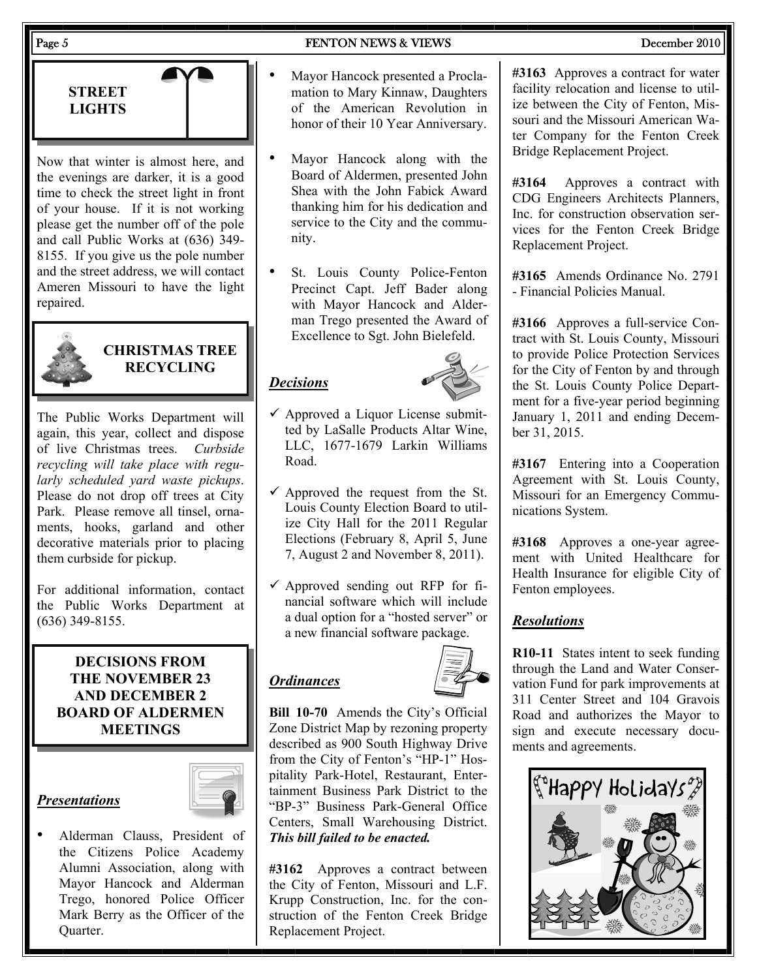#### Page 5 **FENTON NEWS & VIEWS** December 2010

**STREET LIGHTS** 

Now that winter is almost here, and the evenings are darker, it is a good time to check the street light in front of your house. If it is not working please get the number off of the pole and call Public Works at (636) 349- 8155. If you give us the pole number and the street address, we will contact Ameren Missouri to have the light repaired.



**CHRISTMAS TREE RECYCLING** 

The Public Works Department will again, this year, collect and dispose of live Christmas trees. *Curbside recycling will take place with regularly scheduled yard waste pickups*. Please do not drop off trees at City Park. Please remove all tinsel, ornaments, hooks, garland and other decorative materials prior to placing them curbside for pickup.

For additional information, contact the Public Works Department at (636) 349-8155.

#### **DECISIONS FROM THE NOVEMBER 23 AND DECEMBER 2 BOARD OF ALDERMEN MEETINGS**

#### *Presentations*



• Alderman Clauss, President of the Citizens Police Academy Alumni Association, along with Mayor Hancock and Alderman Trego, honored Police Officer Mark Berry as the Officer of the Quarter.

- Mayor Hancock presented a Proclamation to Mary Kinnaw, Daughters of the American Revolution in honor of their 10 Year Anniversary.
- Mayor Hancock along with the Board of Aldermen, presented John Shea with the John Fabick Award thanking him for his dedication and service to the City and the community.
- St. Louis County Police-Fenton Precinct Capt. Jeff Bader along with Mayor Hancock and Alderman Trego presented the Award of Excellence to Sgt. John Bielefeld.

### *Decisions*



- $\checkmark$  Approved a Liquor License submitted by LaSalle Products Altar Wine, LLC, 1677-1679 Larkin Williams Road.
- $\checkmark$  Approved the request from the St. Louis County Election Board to utilize City Hall for the 2011 Regular Elections (February 8, April 5, June 7, August 2 and November 8, 2011).
- $\checkmark$  Approved sending out RFP for financial software which will include a dual option for a "hosted server" or a new financial software package.

### *Ordinances*



**Bill 10-70** Amends the City's Official Zone District Map by rezoning property described as 900 South Highway Drive from the City of Fenton's "HP-1" Hospitality Park-Hotel, Restaurant, Entertainment Business Park District to the "BP-3" Business Park-General Office Centers, Small Warehousing District. *This bill failed to be enacted.* 

**#3162** Approves a contract between the City of Fenton, Missouri and L.F. Krupp Construction, Inc. for the construction of the Fenton Creek Bridge Replacement Project.

**#3163** Approves a contract for water facility relocation and license to utilize between the City of Fenton, Missouri and the Missouri American Water Company for the Fenton Creek Bridge Replacement Project.

**#3164** Approves a contract with CDG Engineers Architects Planners, Inc. for construction observation services for the Fenton Creek Bridge Replacement Project.

**#3165** Amends Ordinance No. 2791 - Financial Policies Manual.

**#3166** Approves a full-service Contract with St. Louis County, Missouri to provide Police Protection Services for the City of Fenton by and through the St. Louis County Police Department for a five-year period beginning January 1, 2011 and ending December 31, 2015.

**#3167** Entering into a Cooperation Agreement with St. Louis County, Missouri for an Emergency Communications System.

**#3168** Approves a one-year agreement with United Healthcare for Health Insurance for eligible City of Fenton employees.

### *Resolutions*

**R10-11** States intent to seek funding through the Land and Water Conservation Fund for park improvements at 311 Center Street and 104 Gravois Road and authorizes the Mayor to sign and execute necessary documents and agreements.